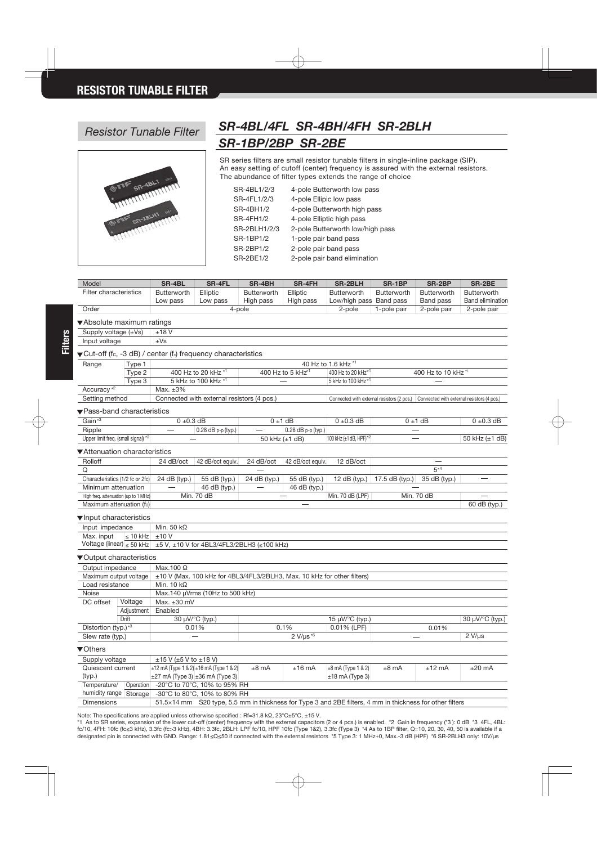

## *Resistor Tunable Filter SR-4BL/4FL SR-4BH/4FH SR-2BLH SR-1BP/2BP SR-2BE*

SR series filters are small resistor tunable filters in single-inline package (SIP). An easy setting of cutoff (center) frequency is assured with the external resistors. The abundance of filter types extends the range of choice

| SR-4BL1/2/3      | 4-pole Butterworth low pass      |
|------------------|----------------------------------|
| SR-4FL1/2/3      | 4-pole Ellipic low pass          |
| <b>SR-4BH1/2</b> | 4-pole Butterworth high pass     |
| <b>SR-4FH1/2</b> | 4-pole Elliptic high pass        |
| SR-2BLH1/2/3     | 2-pole Butterworth low/high pass |
| SR-1BP1/2        | 1-pole pair band pass            |
| SR-2BP1/2        | 2-pole pair band pass            |
| <b>SR-2BE1/2</b> | 2-pole pair band elimination     |
|                  |                                  |

| Model                                 |                                                        | <b>SR-4BL</b>                                                                       | <b>SR-4FL</b>                                                                                    | SR-4BH                       | <b>SR-4FH</b>                  | <b>SR-2BLH</b>                                                                                | SR-1BP              | SR-2BP                                     | SR-2BE                   |  |  |  |
|---------------------------------------|--------------------------------------------------------|-------------------------------------------------------------------------------------|--------------------------------------------------------------------------------------------------|------------------------------|--------------------------------|-----------------------------------------------------------------------------------------------|---------------------|--------------------------------------------|--------------------------|--|--|--|
| Filter characteristics                |                                                        | <b>Butterworth</b>                                                                  | Elliptic                                                                                         | <b>Butterworth</b>           | Elliptic                       | <b>Butterworth</b>                                                                            | <b>Butterworth</b>  | <b>Butterworth</b>                         | <b>Butterworth</b>       |  |  |  |
|                                       |                                                        | Low pass                                                                            | Low pass                                                                                         | High pass                    | High pass                      | Low/high pass                                                                                 | <b>Band pass</b>    | Band pass                                  | <b>Band elimination</b>  |  |  |  |
| Order                                 |                                                        |                                                                                     | 4-pole                                                                                           |                              | 2-pole                         | 1-pole pair                                                                                   | 2-pole pair         | 2-pole pair                                |                          |  |  |  |
| Absolute maximum ratings              |                                                        |                                                                                     |                                                                                                  |                              |                                |                                                                                               |                     |                                            |                          |  |  |  |
| Supply voltage $(\pm Vs)$<br>±18V     |                                                        |                                                                                     |                                                                                                  |                              |                                |                                                                                               |                     |                                            |                          |  |  |  |
| Input voltage                         |                                                        | $\pm$ Vs                                                                            |                                                                                                  |                              |                                |                                                                                               |                     |                                            |                          |  |  |  |
|                                       |                                                        |                                                                                     |                                                                                                  |                              |                                |                                                                                               |                     |                                            |                          |  |  |  |
|                                       | Type 1                                                 | ▼Cut-off (fc, -3 dB) / center (fo) frequency characteristics<br>40 Hz to 1.6 kHz *1 |                                                                                                  |                              |                                |                                                                                               |                     |                                            |                          |  |  |  |
| Range                                 | Type 2                                                 | 400 Hz to 20 kHz *1                                                                 |                                                                                                  |                              |                                | 400 Hz to 20 kHz*1                                                                            | 400 Hz to 10 kHz *1 |                                            |                          |  |  |  |
|                                       |                                                        | 5 kHz to 100 kHz *1                                                                 |                                                                                                  | 400 Hz to 5 kHz <sup>1</sup> |                                | 5 kHz to 100 kHz *1                                                                           |                     |                                            |                          |  |  |  |
| Accuracy <sup>*2</sup>                | Type 3<br>Max. $\pm 3\%$                               |                                                                                     |                                                                                                  |                              |                                |                                                                                               |                     |                                            |                          |  |  |  |
| Setting method                        |                                                        |                                                                                     | Connected with external resistors (4 pcs.)                                                       |                              |                                | Connected with external resistors (2 pcs.)                                                    |                     | Connected with external resistors (4 pcs.) |                          |  |  |  |
|                                       |                                                        |                                                                                     |                                                                                                  |                              |                                |                                                                                               |                     |                                            |                          |  |  |  |
| ▼Pass-band characteristics            |                                                        |                                                                                     |                                                                                                  |                              |                                |                                                                                               |                     |                                            |                          |  |  |  |
| Gain <sup>*3</sup>                    |                                                        |                                                                                     | $0 \pm 0.3$ dB                                                                                   |                              | $0 \pm 1$ dB<br>$0 \pm 0.3$ dB |                                                                                               | $0 \pm 1$ dB        |                                            | $0 \pm 0.3$ dB           |  |  |  |
| Ripple                                |                                                        |                                                                                     | 0.28 dB p-p (typ.)                                                                               |                              | 0.28 dB p-p (typ.)             |                                                                                               |                     |                                            |                          |  |  |  |
| Upper limit freq. (small signal) *2   |                                                        |                                                                                     |                                                                                                  |                              | 50 kHz $(\pm 1$ dB)            | 100 kHz (±1 dB, HPF) $*^2$                                                                    |                     |                                            | 50 kHz (±1 dB)           |  |  |  |
| ▼Attenuation characteristics          |                                                        |                                                                                     |                                                                                                  |                              |                                |                                                                                               |                     |                                            |                          |  |  |  |
| Rolloff                               |                                                        | 24 dB/oct                                                                           | 42 dB/oct equiv.                                                                                 | 24 dB/oct                    | 42 dB/oct equiv.               | 12 dB/oct                                                                                     |                     |                                            |                          |  |  |  |
| Q                                     |                                                        |                                                                                     |                                                                                                  |                              |                                |                                                                                               |                     | $5*4$                                      |                          |  |  |  |
| Characteristics (1/2 fc or 2fc)       |                                                        | 24 dB (typ.)                                                                        | 55 dB (typ.)                                                                                     | 24 dB (typ.)                 | 55 dB (typ.)                   | 12 $dB$ (typ.)                                                                                | 17.5 dB (typ.)      | 35 dB (typ.)                               | $\overline{\phantom{0}}$ |  |  |  |
| Minimum attenuation                   |                                                        | $\overline{\phantom{0}}$                                                            | 46 dB (typ.)                                                                                     |                              | 46 dB (typ.)                   |                                                                                               |                     |                                            |                          |  |  |  |
| High freq. attenuation (up to 1 MHz)  |                                                        |                                                                                     | Min. 70 dB                                                                                       |                              |                                | Min. 70 dB (LPF)                                                                              |                     | Min. 70 dB                                 |                          |  |  |  |
| Maximum attenuation (fo)              |                                                        |                                                                                     |                                                                                                  |                              |                                |                                                                                               |                     |                                            | 60 dB (typ.)             |  |  |  |
|                                       |                                                        |                                                                                     |                                                                                                  |                              |                                |                                                                                               |                     |                                            |                          |  |  |  |
| ▼Input characteristics                |                                                        |                                                                                     |                                                                                                  |                              |                                |                                                                                               |                     |                                            |                          |  |  |  |
| Input impedance                       |                                                        | Min. 50 $k\Omega$                                                                   |                                                                                                  |                              |                                |                                                                                               |                     |                                            |                          |  |  |  |
| Max. input                            | $\leq 10$ kHz                                          |                                                                                     | ±10V<br>Voltage (linear) $\le$ 50 kHz $\pm$ 5 V, $\pm$ 10 V for 4BL3/4FL3/2BLH3 ( $\le$ 100 kHz) |                              |                                |                                                                                               |                     |                                            |                          |  |  |  |
|                                       |                                                        |                                                                                     |                                                                                                  |                              |                                |                                                                                               |                     |                                            |                          |  |  |  |
| ▼Output characteristics               |                                                        |                                                                                     |                                                                                                  |                              |                                |                                                                                               |                     |                                            |                          |  |  |  |
| Output impedance                      |                                                        | Max.100 Ω                                                                           |                                                                                                  |                              |                                |                                                                                               |                     |                                            |                          |  |  |  |
| Maximum output voltage                |                                                        | ±10 V (Max. 100 kHz for 4BL3/4FL3/2BLH3, Max. 10 kHz for other filters)             |                                                                                                  |                              |                                |                                                                                               |                     |                                            |                          |  |  |  |
| Load resistance                       |                                                        | Min. 10 $k\Omega$                                                                   |                                                                                                  |                              |                                |                                                                                               |                     |                                            |                          |  |  |  |
| Noise                                 |                                                        | Max.140 µVrms (10Hz to 500 kHz)                                                     |                                                                                                  |                              |                                |                                                                                               |                     |                                            |                          |  |  |  |
| DC offset                             | Voltage                                                | Max. $\pm 30$ mV                                                                    |                                                                                                  |                              |                                |                                                                                               |                     |                                            |                          |  |  |  |
|                                       | Adjustment                                             | Enabled                                                                             |                                                                                                  |                              |                                |                                                                                               |                     |                                            |                          |  |  |  |
|                                       | Drift                                                  | 30 µV/°C (typ.)                                                                     |                                                                                                  |                              |                                | 15 µV/°C (typ.)                                                                               |                     |                                            | 30 µV/°C (typ.)          |  |  |  |
| Distortion (typ.) <sup>*3</sup>       |                                                        | 0.01%                                                                               |                                                                                                  |                              | 0.1%<br>0.01% (LPF)            |                                                                                               | 0.01%               |                                            |                          |  |  |  |
| Slew rate (typ.)<br>$\hspace{0.05cm}$ |                                                        | $2 \overline{V/\mu s^{*6}}$                                                         |                                                                                                  |                              |                                | $2 V/ \mu s$                                                                                  |                     |                                            |                          |  |  |  |
| ▼Others                               |                                                        |                                                                                     |                                                                                                  |                              |                                |                                                                                               |                     |                                            |                          |  |  |  |
| Supply voltage                        |                                                        | $\pm 15$ V ( $\pm 5$ V to $\pm 18$ V)                                               |                                                                                                  |                              |                                |                                                                                               |                     |                                            |                          |  |  |  |
| Quiescent current                     |                                                        |                                                                                     | $\pm$ 12 mA (Type 1 & 2) $\pm$ 16 mA (Type 1 & 2)                                                | $±8$ mA                      | $±16$ mA                       | $±8$ mA (Type 1 & 2)                                                                          | $±8$ mA             | $±12$ mA                                   | $±20$ mA                 |  |  |  |
| (typ.)                                |                                                        |                                                                                     | $\pm 27$ mA (Type 3) $\pm 36$ mA (Type 3)                                                        |                              |                                | $±18$ mA (Type 3)                                                                             |                     |                                            |                          |  |  |  |
| Temperature/                          |                                                        |                                                                                     | Operation -20°C to 70°C, 10% to 95% RH                                                           |                              |                                |                                                                                               |                     |                                            |                          |  |  |  |
|                                       | humidity range Storage<br>-30°C to 80°C, 10% to 80% RH |                                                                                     |                                                                                                  |                              |                                |                                                                                               |                     |                                            |                          |  |  |  |
| Dimensions                            |                                                        | $51.5\times14$ mm                                                                   |                                                                                                  |                              |                                | S20 type, 5.5 mm in thickness for Type 3 and 2BE filters, 4 mm in thickness for other filters |                     |                                            |                          |  |  |  |

Note: The specifications are applied unless otherwise specified : Rf=31.8 kΩ, 23°C±5°C, ±15 V. \*1 As to SR series, expansion of the lower cut-off (center) frequency with the external capacitors (2 or 4 pcs.) is enabled. \*2 Gain in frequency (\*3 ): 0 dB \*3 4FL, 4BL: fc/10, 4FH: 10fc (fc≤3 kHz), 3.3fc (fc>3 kHz), 4BH: 3.3fc, 2BLH: LPF fc/10, HPF 10fc (Type 1&2), 3.3fc (Type 3) \*4 As to 1BP filter, Q=10, 20, 30, 40, 50 is available if a designated pin is connected with GND. Range: 1.81≤Q≤50 if connected with the external resistors \*5 Type 3: 1 MHz+0, Max.-3 dB (HPF) \*6 SR-2BLH3 only: 10V/μs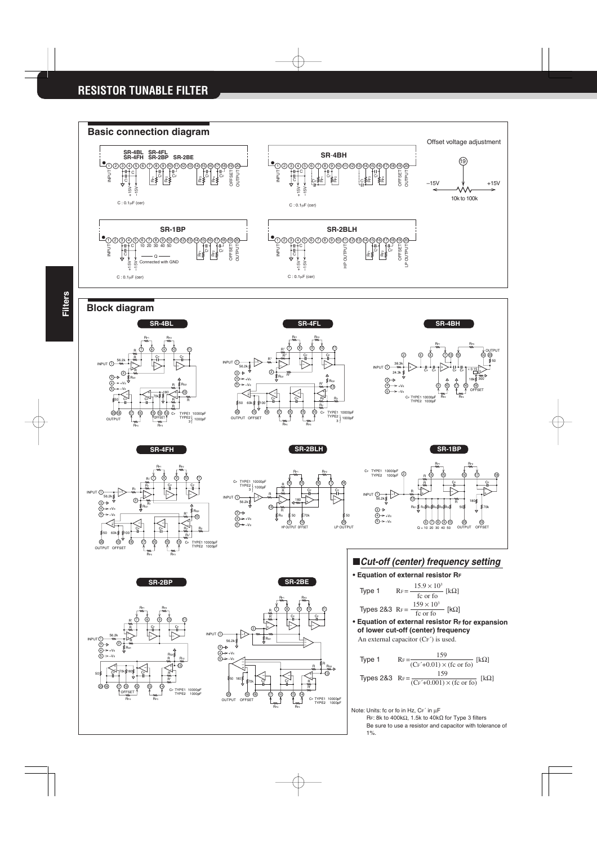







Type 1 
$$
R_F = \frac{15.9 \times 10^3}{f c \text{ or } f o} [kΩ]
$$
  
Types 28.3 
$$
R_F = \frac{159 \times 10^3}{f c \text{ or } f o} [kΩ]
$$

**• Equation of external resistor RF for expansion of lower cut-off (center) frequency** An external capacitor (CF´) is used.

Type 1 
$$
R_F = \frac{159}{(Cr^2 + 0.01) \times (fc \text{ or } fo)} [kΩ]
$$
  
\nTypes 28.3  $R_F = \frac{159}{(Cr^2 + 0.001) \times (fc \text{ or } fo)} [kΩ]$ 

Note: Units: fc or fo in Hz, CF´ in µF

RF: 8k to 400kΩ, 1.5k to 40kΩ for Type 3 filters Be sure to use a resistor and capacitor with tolerance of 1%.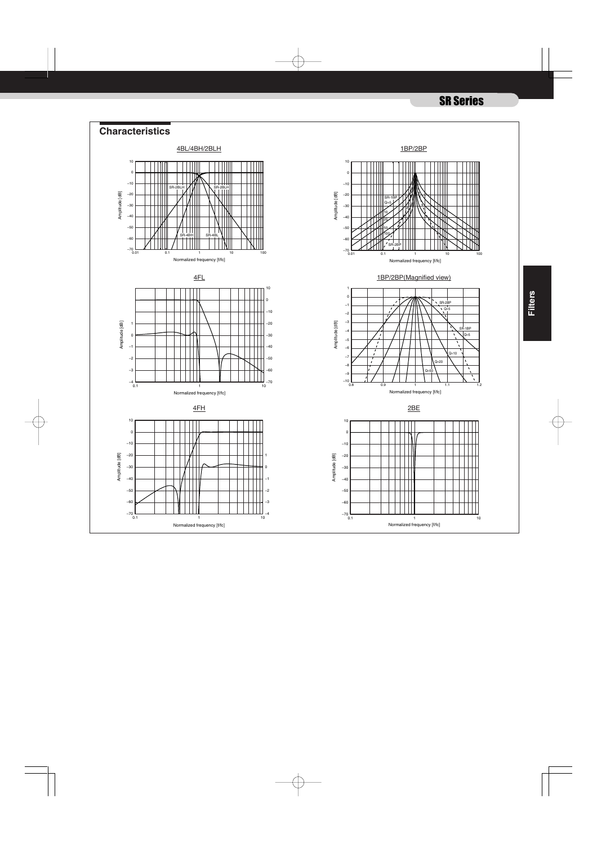## SR Series